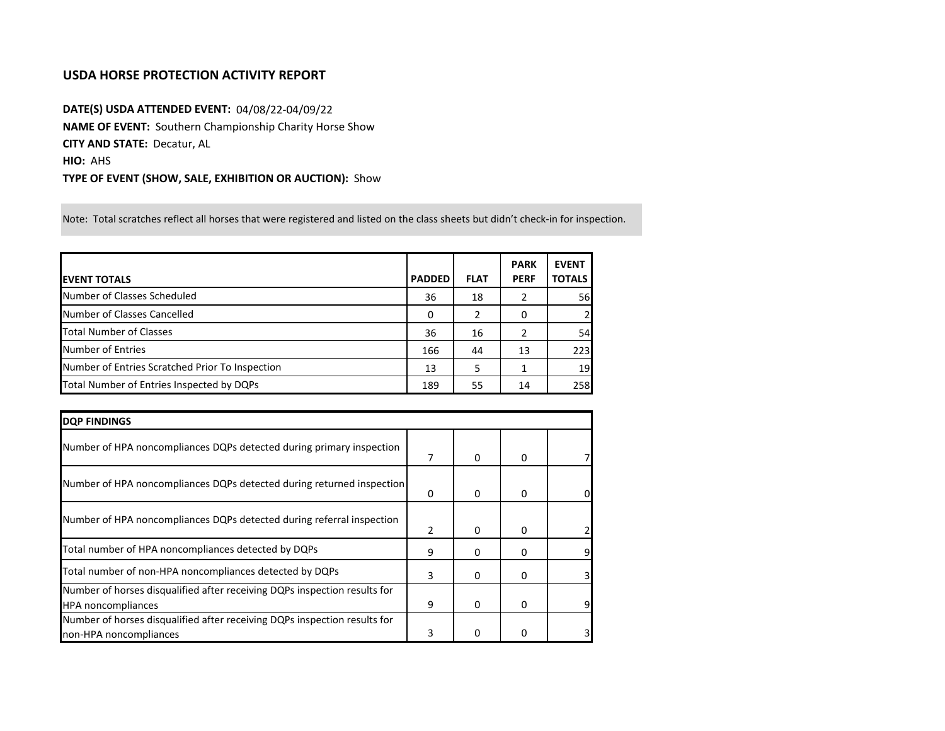## **USDA HORSE PROTECTION ACTIVITY REPORT**

**DATE(S) USDA ATTENDED EVENT:** 04/08/22-04/09/22 **NAME OF EVENT:** Southern Championship Charity Horse Show **CITY AND STATE:** Decatur, AL **HIO:** AHS **TYPE OF EVENT (SHOW, SALE, EXHIBITION OR AUCTION):** Show

Note: Total scratches reflect all horses that were registered and listed on the class sheets but didn't check-in for inspection.

|                                                 |               |             | <b>PARK</b> | <b>EVENT</b>  |
|-------------------------------------------------|---------------|-------------|-------------|---------------|
| <b>EVENT TOTALS</b>                             | <b>PADDED</b> | <b>FLAT</b> | <b>PERF</b> | <b>TOTALS</b> |
| Number of Classes Scheduled                     | 36            | 18          | 2           | 56            |
| Number of Classes Cancelled                     | 0             |             | 0           |               |
| <b>Total Number of Classes</b>                  | 36            | 16          | 2           | 54            |
| Number of Entries                               | 166           | 44          | 13          | 223           |
| Number of Entries Scratched Prior To Inspection | 13            | 5           |             | 19            |
| Total Number of Entries Inspected by DQPs       | 189           | 55          | 14          | 258           |

| <b>DQP FINDINGS</b>                                                                                    |   |              |   |    |
|--------------------------------------------------------------------------------------------------------|---|--------------|---|----|
| Number of HPA noncompliances DQPs detected during primary inspection                                   | 7 | $\mathbf{0}$ | 0 |    |
| Number of HPA noncompliances DQPs detected during returned inspection                                  | 0 | 0            | 0 | 0  |
| Number of HPA noncompliances DQPs detected during referral inspection                                  | 2 | $\Omega$     | 0 |    |
| Total number of HPA noncompliances detected by DQPs                                                    | 9 | 0            | 0 | 9  |
| Total number of non-HPA noncompliances detected by DQPs                                                | 3 | 0            | 0 | 31 |
| Number of horses disqualified after receiving DQPs inspection results for<br><b>HPA</b> noncompliances | 9 | 0            | 0 | 9  |
| Number of horses disqualified after receiving DQPs inspection results for<br>non-HPA noncompliances    | 3 | 0            |   | 31 |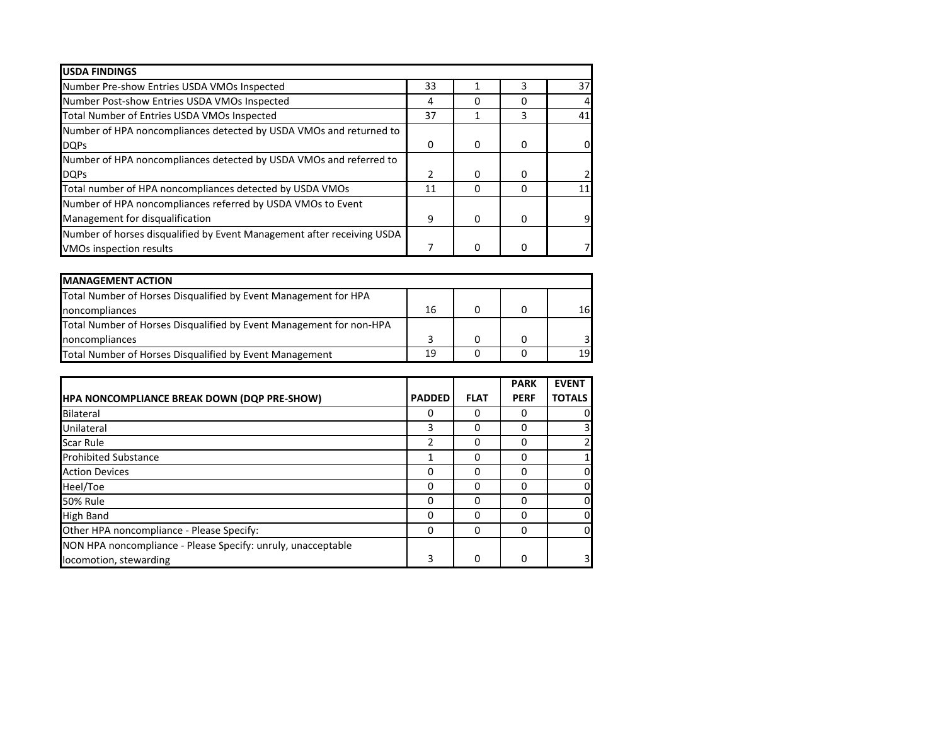| <b>USDA FINDINGS</b>                                                   |    |              |   |    |
|------------------------------------------------------------------------|----|--------------|---|----|
| Number Pre-show Entries USDA VMOs Inspected                            | 33 |              | 3 | 37 |
| Number Post-show Entries USDA VMOs Inspected                           | 4  | O            |   |    |
| Total Number of Entries USDA VMOs Inspected                            | 37 |              | 3 | 41 |
| Number of HPA noncompliances detected by USDA VMOs and returned to     |    |              |   |    |
| <b>DQPs</b>                                                            | 0  | 0            | 0 |    |
| Number of HPA noncompliances detected by USDA VMOs and referred to     |    |              |   |    |
| <b>DQPs</b>                                                            | 2  | $\Omega$     | 0 |    |
| Total number of HPA noncompliances detected by USDA VMOs               | 11 | <sup>0</sup> |   |    |
| Number of HPA noncompliances referred by USDA VMOs to Event            |    |              |   |    |
| Management for disqualification                                        | 9  | $\Omega$     | O |    |
| Number of horses disqualified by Event Management after receiving USDA |    |              |   |    |
| <b>VMOs inspection results</b>                                         |    | 0            |   |    |

| <b>MANAGEMENT ACTION</b>                                            |    |  |                 |
|---------------------------------------------------------------------|----|--|-----------------|
| Total Number of Horses Disqualified by Event Management for HPA     |    |  |                 |
| noncompliances                                                      | 16 |  | 16 <sup> </sup> |
| Total Number of Horses Disqualified by Event Management for non-HPA |    |  |                 |
| noncompliances                                                      |    |  |                 |
| Total Number of Horses Disqualified by Event Management             | 19 |  | 19              |

|                                                              |               |             | <b>PARK</b>  | <b>EVENT</b>   |
|--------------------------------------------------------------|---------------|-------------|--------------|----------------|
| HPA NONCOMPLIANCE BREAK DOWN (DQP PRE-SHOW)                  | <b>PADDED</b> | <b>FLAT</b> | <b>PERF</b>  | <b>TOTALS</b>  |
| Bilateral                                                    | 0             | O           | 0            | 0              |
| Unilateral                                                   | 3             | O           | 0            | 3              |
| <b>Scar Rule</b>                                             | 2             | 0           | 0            | $\overline{2}$ |
| <b>Prohibited Substance</b>                                  |               | 0           | 0            | $\mathbf{1}$   |
| <b>Action Devices</b>                                        | 0             | 0           | ŋ            | 0              |
| Heel/Toe                                                     | 0             | O           | <sup>0</sup> | 0              |
| <b>50% Rule</b>                                              | 0             | O           | 0            | 0              |
| <b>High Band</b>                                             | $\Omega$      | O           | $\Omega$     | 0              |
| Other HPA noncompliance - Please Specify:                    | 0             | $\Omega$    | $\Omega$     | 0              |
| NON HPA noncompliance - Please Specify: unruly, unacceptable |               |             |              |                |
| locomotion, stewarding                                       | 3             | 0           | $\Omega$     | 3              |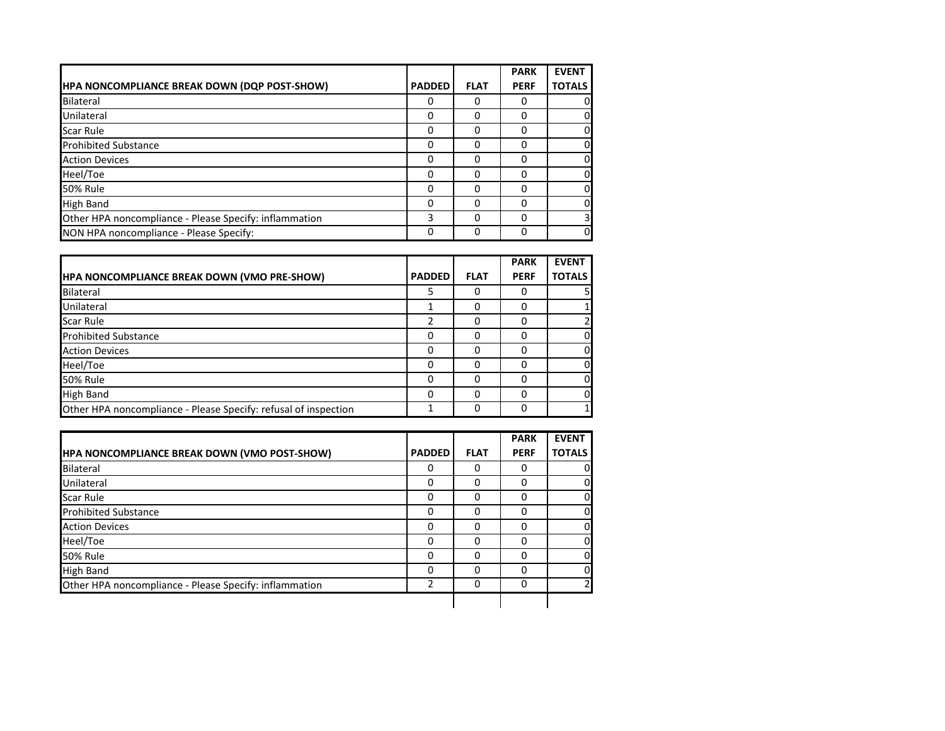|                                                        |               |             | <b>PARK</b> | <b>EVENT</b>  |
|--------------------------------------------------------|---------------|-------------|-------------|---------------|
| HPA NONCOMPLIANCE BREAK DOWN (DQP POST-SHOW)           | <b>PADDED</b> | <b>FLAT</b> | <b>PERF</b> | <b>TOTALS</b> |
| Bilateral                                              | 0             | 0           | O           | 0             |
| Unilateral                                             | $\Omega$      | 0           | o           | <sup>0</sup>  |
| <b>Scar Rule</b>                                       | $\Omega$      | 0           | 0           | <sup>0</sup>  |
| <b>Prohibited Substance</b>                            | 0             | 0           | 0           | $\Omega$      |
| <b>Action Devices</b>                                  | 0             | 0           | O           | <sup>0</sup>  |
| Heel/Toe                                               | 0             | 0           | Ω           | 0             |
| <b>50% Rule</b>                                        | 0             | ŋ           | Ω           | 0             |
| <b>High Band</b>                                       | O             | O           | Ω           | 0             |
| Other HPA noncompliance - Please Specify: inflammation | 3             | 0           | ŋ           | 31            |
| NON HPA noncompliance - Please Specify:                | 0             | 0           | O           | $\Omega$      |

|                                                                 |               |             | <b>PARK</b> | <b>EVENT</b>   |
|-----------------------------------------------------------------|---------------|-------------|-------------|----------------|
| <b>HPA NONCOMPLIANCE BREAK DOWN (VMO PRE-SHOW)</b>              | <b>PADDED</b> | <b>FLAT</b> | <b>PERF</b> | <b>TOTALS</b>  |
| Bilateral                                                       |               |             |             | 51             |
| Unilateral                                                      |               | O           | O           | 1              |
| <b>Scar Rule</b>                                                | $\mathcal{P}$ | O           |             | $\overline{2}$ |
| <b>Prohibited Substance</b>                                     | 0             |             |             | 0              |
| <b>Action Devices</b>                                           | 0             | O           | O           | 0              |
| Heel/Toe                                                        | 0             | O           |             | 0              |
| <b>50% Rule</b>                                                 | 0             |             |             | 0              |
| <b>High Band</b>                                                | 0             |             |             | 0              |
| Other HPA noncompliance - Please Specify: refusal of inspection |               |             | O           | 1              |

|                                                        |               |             | <b>PARK</b> | <b>EVENT</b>   |
|--------------------------------------------------------|---------------|-------------|-------------|----------------|
| <b>HPA NONCOMPLIANCE BREAK DOWN (VMO POST-SHOW)</b>    | <b>PADDED</b> | <b>FLAT</b> | <b>PERF</b> | <b>TOTALS</b>  |
| Bilateral                                              | 0             |             |             | 0              |
| Unilateral                                             | 0             |             | O           | 0              |
| Scar Rule                                              | 0             | 0           | 0           | 0              |
| <b>Prohibited Substance</b>                            | 0             | 0           | 0           | 0              |
| <b>Action Devices</b>                                  | 0             | 0           | 0           | 0              |
| Heel/Toe                                               | 0             |             |             | 0              |
| <b>50% Rule</b>                                        | 0             | C           | O           | 0              |
| <b>High Band</b>                                       | 0             | 0           | $\Omega$    | 0              |
| Other HPA noncompliance - Please Specify: inflammation | 2             | 0           | 0           | $\overline{2}$ |
|                                                        |               |             |             |                |